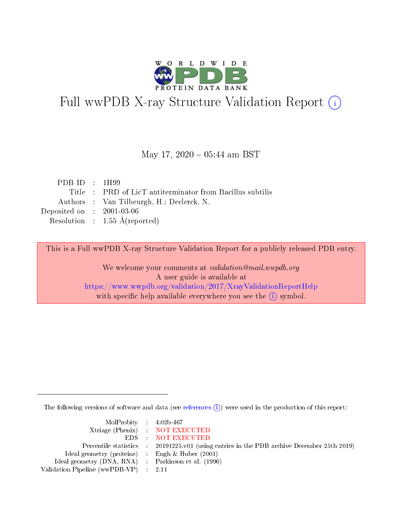

# Full wwPDB X-ray Structure Validation Report (i)

### May 17,  $2020 - 05:44$  am BST

| PDB ID : $1H99$                      |                                                           |
|--------------------------------------|-----------------------------------------------------------|
|                                      | Title : PRD of LicT antiterminator from Bacillus subtilis |
|                                      | Authors : Van Tilbeurgh, H.; Declerck, N.                 |
| Deposited on $\therefore$ 2001-03-06 |                                                           |
|                                      | Resolution : $1.55 \text{ Å}$ (reported)                  |

This is a Full wwPDB X-ray Structure Validation Report for a publicly released PDB entry.

We welcome your comments at validation@mail.wwpdb.org A user guide is available at <https://www.wwpdb.org/validation/2017/XrayValidationReportHelp> with specific help available everywhere you see the  $(i)$  symbol.

The following versions of software and data (see [references](https://www.wwpdb.org/validation/2017/XrayValidationReportHelp#references)  $\overline{(1)}$ ) were used in the production of this report:

| $MolProbability$ 4.02b-467                          |                                                                                            |
|-----------------------------------------------------|--------------------------------------------------------------------------------------------|
|                                                     | Xtriage (Phenix) NOT EXECUTED                                                              |
|                                                     | EDS NOT EXECUTED                                                                           |
|                                                     | Percentile statistics : 20191225.v01 (using entries in the PDB archive December 25th 2019) |
| Ideal geometry (proteins) :                         | Engh & Huber $(2001)$                                                                      |
| Ideal geometry (DNA, RNA) : Parkinson et al. (1996) |                                                                                            |
| Validation Pipeline (wwPDB-VP) : 2.11               |                                                                                            |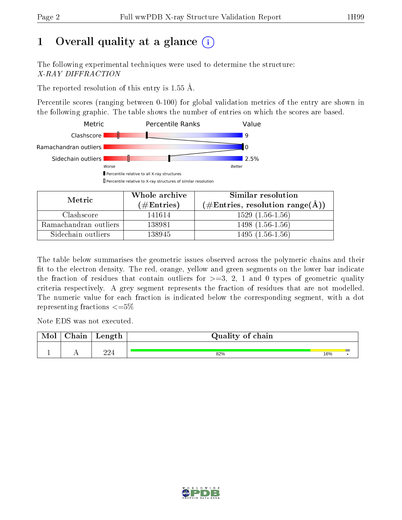# 1 [O](https://www.wwpdb.org/validation/2017/XrayValidationReportHelp#overall_quality)verall quality at a glance  $(i)$

The following experimental techniques were used to determine the structure: X-RAY DIFFRACTION

The reported resolution of this entry is  $1.55 \text{ Å}.$ 

Percentile scores (ranging between 0-100) for global validation metrics of the entry are shown in the following graphic. The table shows the number of entries on which the scores are based.



| Metric                | Whole archive       | Similar resolution                                       |  |  |
|-----------------------|---------------------|----------------------------------------------------------|--|--|
|                       | (# $\rm{Entries}$ ) | $(\#\text{Entries}, \text{resolution range}(\text{\AA})$ |  |  |
| Clashscore            | 141614              | $1529(1.56-1.56)$                                        |  |  |
| Ramachandran outliers | 138981              | $1498(1.56-1.56)$                                        |  |  |
| Sidechain outliers    | 138945              | $1495(1.56-1.56)$                                        |  |  |

The table below summarises the geometric issues observed across the polymeric chains and their fit to the electron density. The red, orange, yellow and green segments on the lower bar indicate the fraction of residues that contain outliers for  $\geq=3$ , 2, 1 and 0 types of geometric quality criteria respectively. A grey segment represents the fraction of residues that are not modelled. The numeric value for each fraction is indicated below the corresponding segment, with a dot representing fractions  $\leq=5\%$ 

Note EDS was not executed.

| Mol | hain | $\sim$ $\sim$ $\sim$ $\sim$ $\sim$ $\sim$<br>reugen | Quality of chain |     |  |
|-----|------|-----------------------------------------------------|------------------|-----|--|
|     |      | າາ∠                                                 | 82%              | 16% |  |

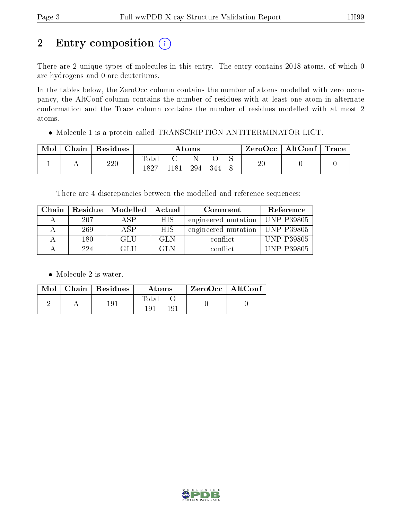# 2 Entry composition (i)

There are 2 unique types of molecules in this entry. The entry contains 2018 atoms, of which 0 are hydrogens and 0 are deuteriums.

In the tables below, the ZeroOcc column contains the number of atoms modelled with zero occupancy, the AltConf column contains the number of residues with at least one atom in alternate conformation and the Trace column contains the number of residues modelled with at most 2 atoms.

Molecule 1 is a protein called TRANSCRIPTION ANTITERMINATOR LICT.

| $\operatorname{\mathsf{Chain}}$ | Residues | Atoms                    |      |     |     | ZeroOcc | AltConf | <b>Trace</b> |  |
|---------------------------------|----------|--------------------------|------|-----|-----|---------|---------|--------------|--|
|                                 | 220      | $\mathrm{Total}$<br>1827 | 1181 | 294 | 344 |         | ഹ<br>ZU |              |  |

There are 4 discrepancies between the modelled and reference sequences:

| Chain | Residue | Modelled | Actual     | Comment                          | Reference         |
|-------|---------|----------|------------|----------------------------------|-------------------|
|       | 207     | A SP     | <b>HIS</b> | engineered mutation   UNP P39805 |                   |
|       | 269     | ASP      | <b>HIS</b> | engineered mutation   UNP P39805 |                   |
|       | 180     | GLU      | GL N       | conflict                         | <b>UNP P39805</b> |
|       | 224     | GLU      | GL N       | conflict                         | <b>UNP P39805</b> |

• Molecule 2 is water.

|  | $Mol$   Chain   Residues | Atoms        | $^{\shortmid}$ ZeroOcc $\mid$ AltConf $_{\shortmid}$ |  |
|--|--------------------------|--------------|------------------------------------------------------|--|
|  | 191                      | Total<br>191 |                                                      |  |

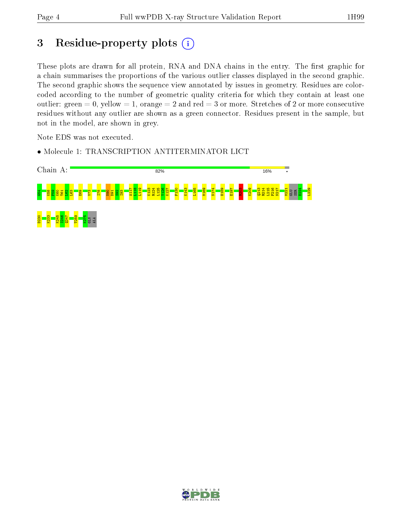# 3 Residue-property plots (i)

These plots are drawn for all protein, RNA and DNA chains in the entry. The first graphic for a chain summarises the proportions of the various outlier classes displayed in the second graphic. The second graphic shows the sequence view annotated by issues in geometry. Residues are colorcoded according to the number of geometric quality criteria for which they contain at least one outlier: green  $= 0$ , yellow  $= 1$ , orange  $= 2$  and red  $= 3$  or more. Stretches of 2 or more consecutive residues without any outlier are shown as a green connector. Residues present in the sample, but not in the model, are shown in grey.

Note EDS was not executed.

• Molecule 1: TRANSCRIPTION ANTITERMINATOR LICT



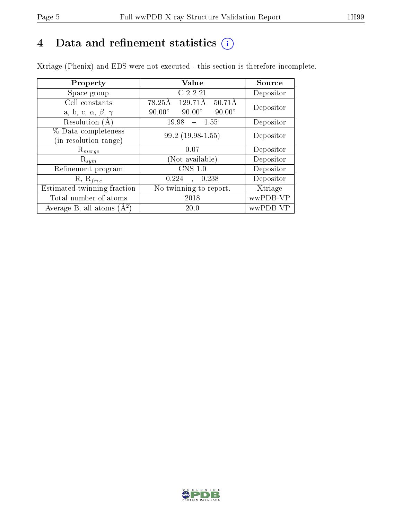# 4 Data and refinement statistics  $(i)$

Xtriage (Phenix) and EDS were not executed - this section is therefore incomplete.

| Property                               | Value                                           | <b>Source</b> |
|----------------------------------------|-------------------------------------------------|---------------|
| Space group                            | C 2 2 21                                        | Depositor     |
| Cell constants                         | 129.71Å<br>$50.71\text{\AA}$<br>78.25Å          | Depositor     |
| a, b, c, $\alpha$ , $\beta$ , $\gamma$ | $90.00^\circ$<br>$90.00^\circ$<br>$90.00^\circ$ |               |
| Resolution (A)                         | 19.98<br>- 1.55                                 | Depositor     |
| % Data completeness                    | $99.2(19.98-1.55)$                              | Depositor     |
| (in resolution range)                  |                                                 |               |
| $R_{merge}$                            | 0.07                                            | Depositor     |
| $\mathrm{R}_{sym}$                     | (Not available)                                 | Depositor     |
| Refinement program                     | CNS 1.0                                         | Depositor     |
| $R, R_{free}$                          | 0.224<br>0.238<br>$\sim$                        | Depositor     |
| Estimated twinning fraction            | No twinning to report.                          | Xtriage       |
| Total number of atoms                  | 2018                                            | wwPDB-VP      |
| Average B, all atoms $(A^2)$           | 20.0                                            | wwPDB-VP      |

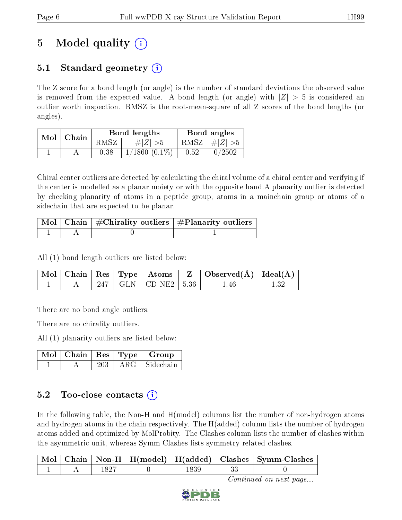# 5 Model quality  $(i)$

# 5.1 Standard geometry (i)

The Z score for a bond length (or angle) is the number of standard deviations the observed value is removed from the expected value. A bond length (or angle) with  $|Z| > 5$  is considered an outlier worth inspection. RMSZ is the root-mean-square of all Z scores of the bond lengths (or angles).

| $Mol$   Chain |  |      | Bond lengths       | Bond angles |                         |
|---------------|--|------|--------------------|-------------|-------------------------|
|               |  | RMSZ | # $ Z  > 5$        |             | RMSZ $\mid \#Z \mid >5$ |
|               |  | 0.38 | $1/1860$ $(0.1\%)$ | 0.52        | 0/2502                  |

Chiral center outliers are detected by calculating the chiral volume of a chiral center and verifying if the center is modelled as a planar moiety or with the opposite hand.A planarity outlier is detected by checking planarity of atoms in a peptide group, atoms in a mainchain group or atoms of a sidechain that are expected to be planar.

|  | $\lceil \, \text{Mol} \, \rceil$ Chain $\mid \# \text{Chirality outliers} \mid \# \text{Planarity outliers} \mid$ |
|--|-------------------------------------------------------------------------------------------------------------------|
|  |                                                                                                                   |

All (1) bond length outliers are listed below:

|  |  |                           | Mol   Chain   Res   Type   Atoms   Z   Observed(A)   Ideal(A) |  |
|--|--|---------------------------|---------------------------------------------------------------|--|
|  |  | 247   GLN   CD-NE2   5.36 | l .46                                                         |  |

There are no bond angle outliers.

There are no chirality outliers.

All (1) planarity outliers are listed below:

|  |            | Mol   Chain   Res   Type   Group |
|--|------------|----------------------------------|
|  | $\rm{ARG}$ | Sidechain                        |

## 5.2 Too-close contacts  $(i)$

In the following table, the Non-H and H(model) columns list the number of non-hydrogen atoms and hydrogen atoms in the chain respectively. The H(added) column lists the number of hydrogen atoms added and optimized by MolProbity. The Clashes column lists the number of clashes within the asymmetric unit, whereas Symm-Clashes lists symmetry related clashes.

|  |  |  | $\mid$ Mol $\mid$ Chain $\mid$ Non-H $\mid$ H(model) $\mid$ H(added) $\mid$ Clashes $\mid$ Symm-Clashes |
|--|--|--|---------------------------------------------------------------------------------------------------------|
|  |  |  |                                                                                                         |

Continued on next page...

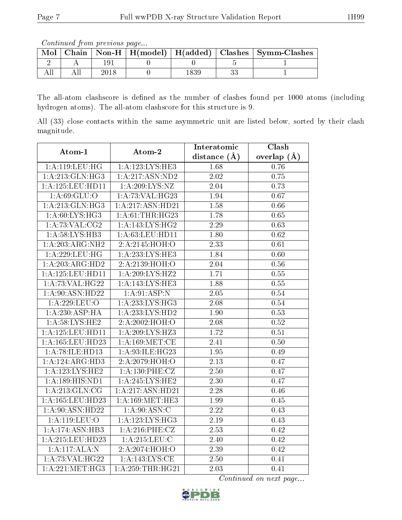Continued from previous page...

| Mol |  |  | Chain   Non-H   $H(model)$   $H(added)$   Clashes   Symm-Clashes |
|-----|--|--|------------------------------------------------------------------|
|     |  |  |                                                                  |
|     |  |  |                                                                  |

The all-atom clashscore is defined as the number of clashes found per 1000 atoms (including hydrogen atoms). The all-atom clashscore for this structure is 9.

All (33) close contacts within the same asymmetric unit are listed below, sorted by their clash magnitude.

| Atom-1                       | Atom-2              | Interatomic       | Clash             |
|------------------------------|---------------------|-------------------|-------------------|
|                              |                     | distance $(\AA)$  | overlap $(\AA)$   |
| 1:A:119:LEU:HG               | 1:A:123:LYS:HE3     | 1.68              | 0.76              |
| 1:A:213:GLN:HG3              | 1:A:217:ASN:ND2     | 2.02              | 0.75              |
| 1:A:125:LEU:HD11             | 1: A:209: LYS: NZ   | 2.04              | 0.73              |
| 1: A:69: GLU:O               | 1:A:73:VAL:HG23     | 1.94              | 0.67              |
| 1:A:213:GLN:HG3              | 1:A:217:ASN:HD21    | 1.58              | 0.66              |
| 1: A:60: LYS: HG3            | 1: A:61:THR:HG23    | 1.78              | 0.65              |
| 1: A:73: VAL: CG2            | 1: A: 143: LYS: HG2 | 2.29              | 0.63              |
| 1: A:58: LYS: HB3            | 1: A:63:LEU:HD11    | 1.80              | 0.62              |
| 1:A:203:ARG:NH2              | 2:A:2145:HOH:O      | 2.33              | 0.61              |
| 1:A:229:LEU:HG               | 1:A:233:LYS:HE3     | 1.84              | 0.60              |
| 1:A:203:ARG:HD2              | 2:A:2139:HOH:O      | 2.04              | $0.56\,$          |
| 1:A:125:LEU:HD11             | 1: A:209:LYS:HZ2    | 1.71              | 0.55              |
| 1: A:73: VAL:HG22            | 1: A:143:LYS:HE3    | 1.88              | 0.55              |
| 1:A:90:ASN:HD22              | 1:A:91:ASP:N        | 2.05              | 0.54              |
| 1:A:229:LEU:O                | 1: A: 233: LYS: HG3 | 2.08              | 0.54              |
| 1:A:230:ASP:HA               | 1:A:233:LYS:HD2     | 1.90              | 0.53              |
| 1: A:58: LYS: HE2            | 2:A:2002:HOH:O      | 2.08              | 0.52              |
| 1:A:125:LEU:HD11             | 1: A:209: LYS: HZ3  | 1.72              | 0.51              |
| 1:A:165:LEU:HD23             | 1: A:169:MET:CE     | 2.41              | 0.50              |
| 1: A:78: ILE: HD13           | 1: A:93: ILE: HG23  | 1.95              | 0.49              |
| 1:A:124:ARG:HD3              | 2:A:2079:HOH:O      | 2.13              | 0.47              |
| 1: A:123:LYS:HE2             | 1: A: 130: PHE: CZ  | $\overline{2.50}$ | $\overline{0.47}$ |
| $1:\overline{A:189:HIS:ND1}$ | 1:A:245:LYS:HE2     | $\overline{2.30}$ | 0.47              |
| 1: A:213: GLN: CG            | 1:A:217:ASN:HD21    | 2.28              | 0.46              |
| 1:A:165:LEU:HD23             | 1: A:169:MET:HE3    | 1.99              | 0.45              |
| 1:A:90:ASN:HD22              | 1: A:90: ASN: C     | 2.22              | 0.43              |
| $1:$ A:119:LEU:O             | 1:A:123:LYS:HG3     | $\overline{2.19}$ | 0.43              |
| 1:A:174:ASN:HB3              | 1: A:216: PHE: CZ   | 2.53              | 0.42              |
| 1:A:215:LEU:HD23             | $1:$ A:215:LEU:C    | 2.40              | 0.42              |
| 1:A:117:ALA:N                | 2: A: 2074: HOH: O  | 2.39              | 0.42              |
| 1: A: 73: VAL: HG22          | 1: A: 143: LYS: CE  | 2.50              | 0.41              |
| 1:A:221:MET:HG3              | 1:A:259:THR:HG21    | $\overline{2.03}$ | 0.41              |

Continued on next page...

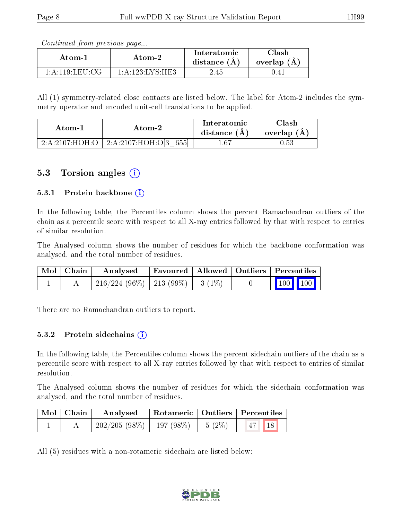Continued from previous page...

| Atom-1                 | Atom-2                                           | Interatomic<br>distance $(A)$ | ${\rm Class}$<br>overlap $(A)$ |
|------------------------|--------------------------------------------------|-------------------------------|--------------------------------|
| $1:$ A:119:LEU:CG $\,$ | $1 \cdot A \cdot 123 \cdot I \cdot YS \cdot HE3$ | 2.45                          | U.41                           |

All (1) symmetry-related close contacts are listed below. The label for Atom-2 includes the symmetry operator and encoded unit-cell translations to be applied.

| Atom-1           | Atom-2                   | Interatomic<br>distance $(A)$ | Clash<br>overlap $(A)$ |
|------------------|--------------------------|-------------------------------|------------------------|
| 2: A:2107: HOH:O | 2:A:2107:HOH:O[3]<br>655 | L.67                          | $\rm 0.53$             |

## 5.3 Torsion angles  $(i)$

#### 5.3.1 Protein backbone  $(i)$

In the following table, the Percentiles column shows the percent Ramachandran outliers of the chain as a percentile score with respect to all X-ray entries followed by that with respect to entries of similar resolution.

The Analysed column shows the number of residues for which the backbone conformation was analysed, and the total number of residues.

| $\mid$ Mol $\mid$ Chain $\mid$ | Analysed                                | Favoured   Allowed   Outliers   Percentiles |  |                                                            |  |
|--------------------------------|-----------------------------------------|---------------------------------------------|--|------------------------------------------------------------|--|
|                                | $216/224$ (96\%)   213 (99\%)   3 (1\%) |                                             |  | $\begin{array}{ c c c c }\n\hline\n100 & 100\n\end{array}$ |  |

There are no Ramachandran outliers to report.

#### 5.3.2 Protein sidechains  $(i)$

In the following table, the Percentiles column shows the percent sidechain outliers of the chain as a percentile score with respect to all X-ray entries followed by that with respect to entries of similar resolution.

The Analysed column shows the number of residues for which the sidechain conformation was analysed, and the total number of residues.

| Mol   Chain | Analysed                                |  | Rotameric   Outliers   Percentiles |
|-------------|-----------------------------------------|--|------------------------------------|
|             | $-202/205(98\%)$   197 (98\%)   5 (2\%) |  | $47$   18                          |

All (5) residues with a non-rotameric sidechain are listed below:

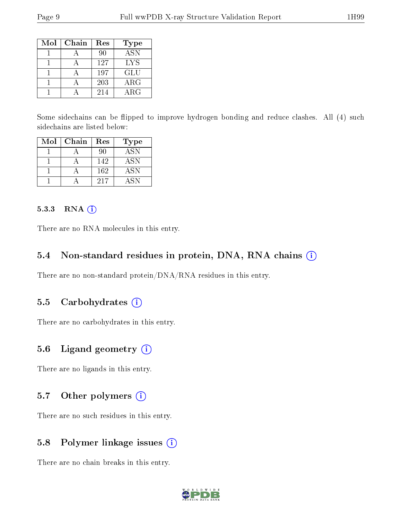| Mol | Chain | Res | Type             |
|-----|-------|-----|------------------|
|     |       | 90  | $\overline{ASN}$ |
|     |       | 127 | LYS              |
|     |       | 197 | GLU              |
|     |       | 203 | $\rm{ARG}$       |
|     |       | 214 | ${\rm ARG}$      |

Some sidechains can be flipped to improve hydrogen bonding and reduce clashes. All (4) such sidechains are listed below:

| Mol | Chain | Res | Type             |
|-----|-------|-----|------------------|
|     |       | 90  | $AS\overline{N}$ |
|     |       | 142 | <b>ASN</b>       |
|     |       | 162 | <b>ASN</b>       |
|     |       | 217 | A SN             |

#### 5.3.3 RNA (i)

There are no RNA molecules in this entry.

#### 5.4 Non-standard residues in protein, DNA, RNA chains (i)

There are no non-standard protein/DNA/RNA residues in this entry.

### 5.5 Carbohydrates  $(i)$

There are no carbohydrates in this entry.

#### 5.6 Ligand geometry (i)

There are no ligands in this entry.

#### 5.7 [O](https://www.wwpdb.org/validation/2017/XrayValidationReportHelp#nonstandard_residues_and_ligands)ther polymers (i)

There are no such residues in this entry.

### 5.8 Polymer linkage issues (i)

There are no chain breaks in this entry.